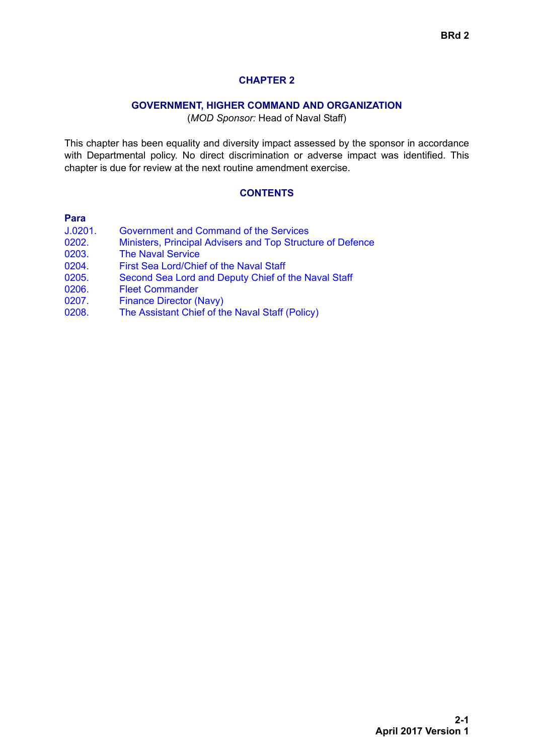# **CHAPTER 2**

### **GOVERNMENT, HIGHER COMMAND AND ORGANIZATION**

(*MOD Sponsor:* Head of Naval Staff)

This chapter has been equality and diversity impact assessed by the sponsor in accordance with Departmental policy. No direct discrimination or adverse impact was identified. This chapter is due for review at the next routine amendment exercise.

### **CONTENTS**

#### **Para**

| J.0201. | Government and Command of the Services                     |
|---------|------------------------------------------------------------|
| 0202.   | Ministers, Principal Advisers and Top Structure of Defence |
| 0203.   | <b>The Naval Service</b>                                   |
| 0204.   | First Sea Lord/Chief of the Naval Staff                    |
| 0205.   | Second Sea Lord and Deputy Chief of the Naval Staff        |
| 0206.   | <b>Fleet Commander</b>                                     |
| 0207.   | <b>Finance Director (Navy)</b>                             |
| 0208.   | The Assistant Chief of the Naval Staff (Policy)            |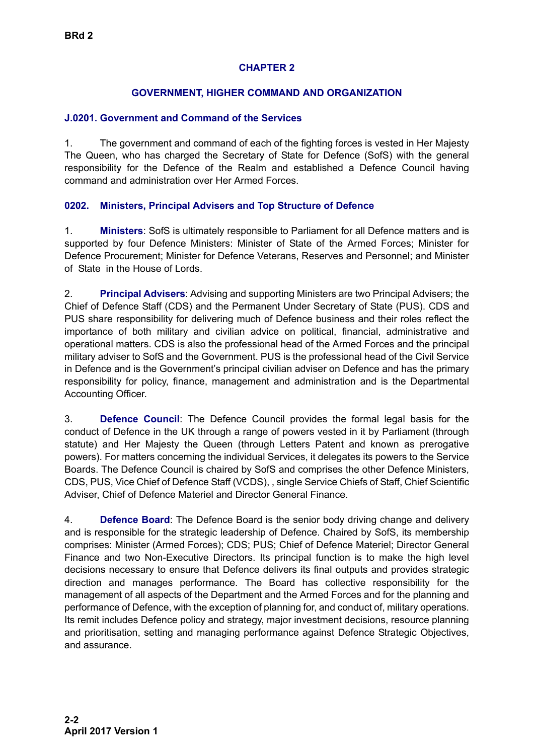# **CHAPTER 2**

## **GOVERNMENT, HIGHER COMMAND AND ORGANIZATION**

#### <span id="page-1-0"></span>**J.0201. Government and Command of the Services**

1. The government and command of each of the fighting forces is vested in Her Majesty The Queen, who has charged the Secretary of State for Defence (SofS) with the general responsibility for the Defence of the Realm and established a Defence Council having command and administration over Her Armed Forces.

#### <span id="page-1-1"></span>**0202. Ministers, Principal Advisers and Top Structure of Defence**

1. **Ministers**: SofS is ultimately responsible to Parliament for all Defence matters and is supported by four Defence Ministers: Minister of State of the Armed Forces; Minister for Defence Procurement; Minister for Defence Veterans, Reserves and Personnel; and Minister of State in the House of Lords.

2. **Principal Advisers**: Advising and supporting Ministers are two Principal Advisers; the Chief of Defence Staff (CDS) and the Permanent Under Secretary of State (PUS). CDS and PUS share responsibility for delivering much of Defence business and their roles reflect the importance of both military and civilian advice on political, financial, administrative and operational matters. CDS is also the professional head of the Armed Forces and the principal military adviser to SofS and the Government. PUS is the professional head of the Civil Service in Defence and is the Government's principal civilian adviser on Defence and has the primary responsibility for policy, finance, management and administration and is the Departmental Accounting Officer.

3. **Defence Council**: The Defence Council provides the formal legal basis for the conduct of Defence in the UK through a range of powers vested in it by Parliament (through statute) and Her Majesty the Queen (through Letters Patent and known as prerogative powers). For matters concerning the individual Services, it delegates its powers to the Service Boards. The Defence Council is chaired by SofS and comprises the other Defence Ministers, CDS, PUS, Vice Chief of Defence Staff (VCDS), , single Service Chiefs of Staff, Chief Scientific Adviser, Chief of Defence Materiel and Director General Finance.

4. **Defence Board**: The Defence Board is the senior body driving change and delivery and is responsible for the strategic leadership of Defence. Chaired by SofS, its membership comprises: Minister (Armed Forces); CDS; PUS; Chief of Defence Materiel; Director General Finance and two Non-Executive Directors. Its principal function is to make the high level decisions necessary to ensure that Defence delivers its final outputs and provides strategic direction and manages performance. The Board has collective responsibility for the management of all aspects of the Department and the Armed Forces and for the planning and performance of Defence, with the exception of planning for, and conduct of, military operations. Its remit includes Defence policy and strategy, major investment decisions, resource planning and prioritisation, setting and managing performance against Defence Strategic Objectives, and assurance.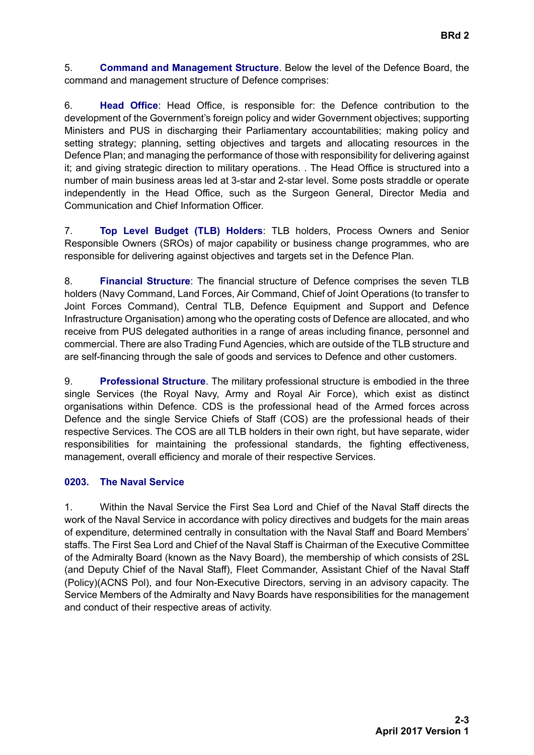5. **Command and Management Structure**. Below the level of the Defence Board, the command and management structure of Defence comprises:

6. **Head Office**: Head Office, is responsible for: the Defence contribution to the development of the Government's foreign policy and wider Government objectives; supporting Ministers and PUS in discharging their Parliamentary accountabilities; making policy and setting strategy; planning, setting objectives and targets and allocating resources in the Defence Plan; and managing the performance of those with responsibility for delivering against it; and giving strategic direction to military operations. . The Head Office is structured into a number of main business areas led at 3-star and 2-star level. Some posts straddle or operate independently in the Head Office, such as the Surgeon General, Director Media and Communication and Chief Information Officer.

7. **Top Level Budget (TLB) Holders**: TLB holders, Process Owners and Senior Responsible Owners (SROs) of major capability or business change programmes, who are responsible for delivering against objectives and targets set in the Defence Plan.

8. **Financial Structure**: The financial structure of Defence comprises the seven TLB holders (Navy Command, Land Forces, Air Command, Chief of Joint Operations (to transfer to Joint Forces Command), Central TLB, Defence Equipment and Support and Defence Infrastructure Organisation) among who the operating costs of Defence are allocated, and who receive from PUS delegated authorities in a range of areas including finance, personnel and commercial. There are also Trading Fund Agencies, which are outside of the TLB structure and are self-financing through the sale of goods and services to Defence and other customers.

9. **Professional Structure**. The military professional structure is embodied in the three single Services (the Royal Navy, Army and Royal Air Force), which exist as distinct organisations within Defence. CDS is the professional head of the Armed forces across Defence and the single Service Chiefs of Staff (COS) are the professional heads of their respective Services. The COS are all TLB holders in their own right, but have separate, wider responsibilities for maintaining the professional standards, the fighting effectiveness, management, overall efficiency and morale of their respective Services.

## <span id="page-2-0"></span>**0203. The Naval Service**

1. Within the Naval Service the First Sea Lord and Chief of the Naval Staff directs the work of the Naval Service in accordance with policy directives and budgets for the main areas of expenditure, determined centrally in consultation with the Naval Staff and Board Members' staffs. The First Sea Lord and Chief of the Naval Staff is Chairman of the Executive Committee of the Admiralty Board (known as the Navy Board), the membership of which consists of 2SL (and Deputy Chief of the Naval Staff), Fleet Commander, Assistant Chief of the Naval Staff (Policy)(ACNS Pol), and four Non-Executive Directors, serving in an advisory capacity. The Service Members of the Admiralty and Navy Boards have responsibilities for the management and conduct of their respective areas of activity.